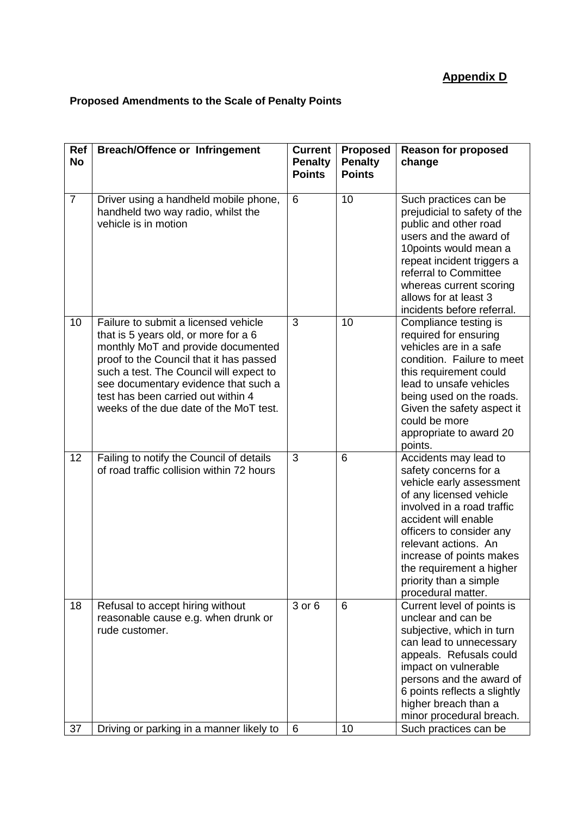## **Proposed Amendments to the Scale of Penalty Points**

| Ref<br><b>No</b> | <b>Breach/Offence or Infringement</b>                                                                                                                                                                                                                                                                                            | <b>Current</b><br><b>Penalty</b><br><b>Points</b> | Proposed<br><b>Penalty</b><br><b>Points</b> | <b>Reason for proposed</b><br>change                                                                                                                                                                                                                                                                                    |
|------------------|----------------------------------------------------------------------------------------------------------------------------------------------------------------------------------------------------------------------------------------------------------------------------------------------------------------------------------|---------------------------------------------------|---------------------------------------------|-------------------------------------------------------------------------------------------------------------------------------------------------------------------------------------------------------------------------------------------------------------------------------------------------------------------------|
| $\overline{7}$   | Driver using a handheld mobile phone,<br>handheld two way radio, whilst the<br>vehicle is in motion                                                                                                                                                                                                                              | 6                                                 | 10                                          | Such practices can be<br>prejudicial to safety of the<br>public and other road<br>users and the award of<br>10points would mean a<br>repeat incident triggers a<br>referral to Committee<br>whereas current scoring<br>allows for at least 3<br>incidents before referral.                                              |
| 10               | Failure to submit a licensed vehicle<br>that is 5 years old, or more for a 6<br>monthly MoT and provide documented<br>proof to the Council that it has passed<br>such a test. The Council will expect to<br>see documentary evidence that such a<br>test has been carried out within 4<br>weeks of the due date of the MoT test. | 3                                                 | 10                                          | Compliance testing is<br>required for ensuring<br>vehicles are in a safe<br>condition. Failure to meet<br>this requirement could<br>lead to unsafe vehicles<br>being used on the roads.<br>Given the safety aspect it<br>could be more<br>appropriate to award 20<br>points.                                            |
| 12               | Failing to notify the Council of details<br>of road traffic collision within 72 hours                                                                                                                                                                                                                                            | 3                                                 | 6                                           | Accidents may lead to<br>safety concerns for a<br>vehicle early assessment<br>of any licensed vehicle<br>involved in a road traffic<br>accident will enable<br>officers to consider any<br>relevant actions. An<br>increase of points makes<br>the requirement a higher<br>priority than a simple<br>procedural matter. |
| 18               | Refusal to accept hiring without<br>reasonable cause e.g. when drunk or<br>rude customer.                                                                                                                                                                                                                                        | 3 or 6                                            | 6                                           | Current level of points is<br>unclear and can be<br>subjective, which in turn<br>can lead to unnecessary<br>appeals. Refusals could<br>impact on vulnerable<br>persons and the award of<br>6 points reflects a slightly<br>higher breach than a<br>minor procedural breach.                                             |
| 37               | Driving or parking in a manner likely to                                                                                                                                                                                                                                                                                         | 6                                                 | 10                                          | Such practices can be                                                                                                                                                                                                                                                                                                   |